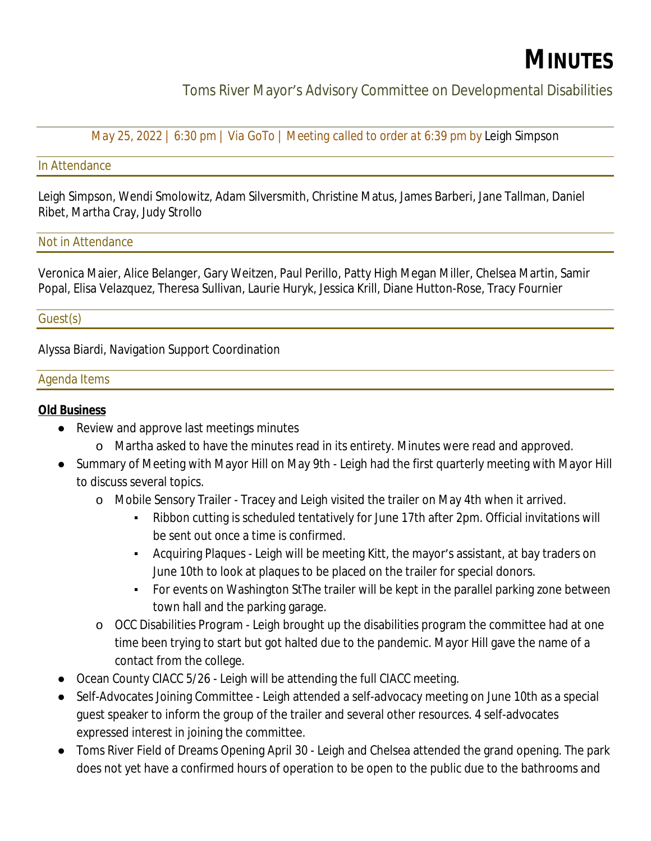# **MINUTES**

Toms River Mayor's Advisory Committee on Developmental Disabilities

*May 25, 2022 | 6:30 pm | Via GoTo | Meeting called to order at 6:39 pm by* Leigh Simpson

#### In Attendance

Leigh Simpson, Wendi Smolowitz, Adam Silversmith, Christine Matus, James Barberi, Jane Tallman, Daniel Ribet, Martha Cray, Judy Strollo

#### Not in Attendance

Veronica Maier, Alice Belanger, Gary Weitzen, Paul Perillo, Patty High Megan Miller, Chelsea Martin, Samir Popal, Elisa Velazquez, Theresa Sullivan, Laurie Huryk, Jessica Krill, Diane Hutton-Rose, Tracy Fournier

#### Guest(s)

Alyssa Biardi, Navigation Support Coordination

#### Agenda Items

#### **Old Business**

- Review and approve last meetings minutes
	- o Martha asked to have the minutes read in its entirety. Minutes were read and approved.
- Summary of Meeting with Mayor Hill on May 9th Leigh had the first quarterly meeting with Mayor Hill to discuss several topics.
	- o Mobile Sensory Trailer Tracey and Leigh visited the trailer on May 4th when it arrived.
		- Ribbon cutting is scheduled tentatively for June 17th after 2pm. Official invitations will be sent out once a time is confirmed.
		- Acquiring Plaques Leigh will be meeting Kitt, the mayor's assistant, at bay traders on June 10th to look at plaques to be placed on the trailer for special donors.
		- For events on Washington StThe trailer will be kept in the parallel parking zone between town hall and the parking garage.
	- o OCC Disabilities Program Leigh brought up the disabilities program the committee had at one time been trying to start but got halted due to the pandemic. Mayor Hill gave the name of a contact from the college.
- Ocean County CIACC 5/26 Leigh will be attending the full CIACC meeting.
- Self-Advocates Joining Committee Leigh attended a self-advocacy meeting on June 10th as a special guest speaker to inform the group of the trailer and several other resources. 4 self-advocates expressed interest in joining the committee.
- Toms River Field of Dreams Opening April 30 Leigh and Chelsea attended the grand opening. The park does not yet have a confirmed hours of operation to be open to the public due to the bathrooms and